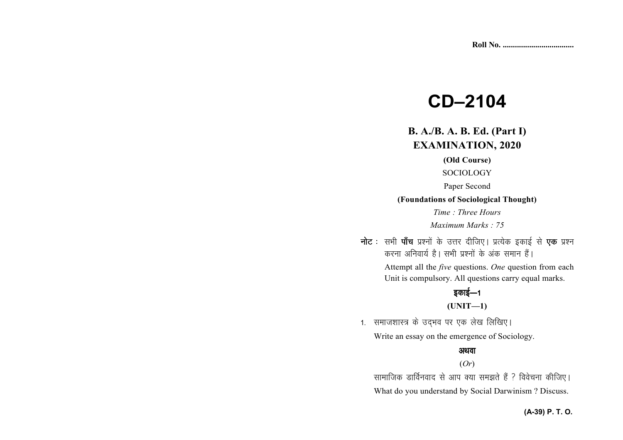# **CD–2104**

# **B. A./B. A. B. Ed. (Part I)EXAMINATION, 2020**

#### **(Old Course)**

SOCIOLOGY

Paper Second

#### **(Foundations of Sociological Thought)**

*Time : Three Hours* 

*Maximum Marks : 75*

नोट : सभी पाँच प्रश्नों के उत्तर दीजिए। प्रत्येक इकाई से **एक** प्रश्न करना अनिवार्य है। सभी प्रश्नों के अंक समान हैं।

 Attempt all the *five* questions. *One* question from each Unit is compulsory. All questions carry equal marks.

# डकाई $-1$

#### **(UNIT—1)**

1. समाजशास्त्र के उदभव पर एक लेख लिखिए।

Write an essay on the emergence of Sociology.

#### अथवा

#### (*Or*)

सामाजिक डार्विनवाद से आप क्या समझते हैं ? विवेचना कीजिए। What do you understand by Social Darwinism ? Discuss.

#### **(A-39) P. T. O.**